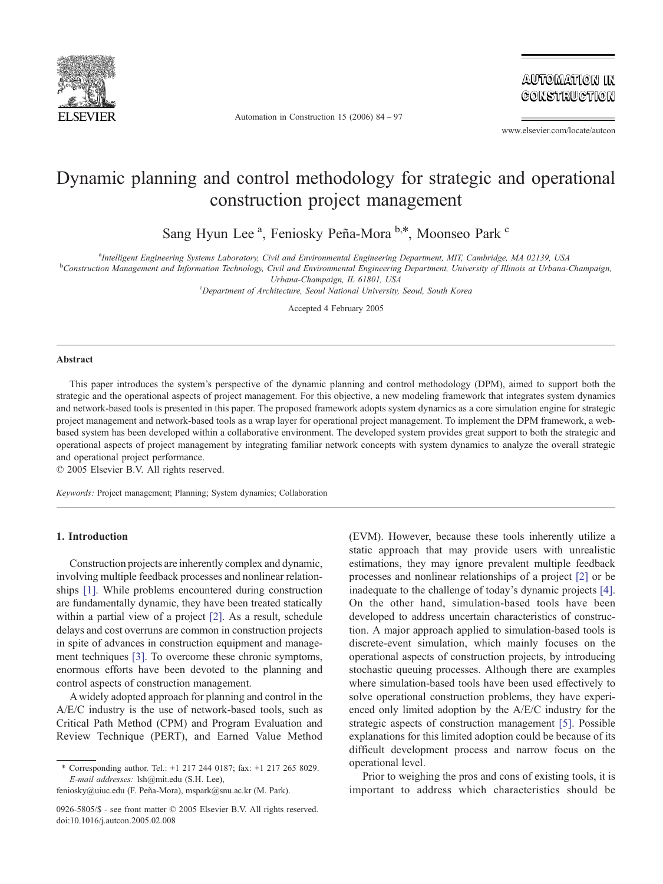

Automation in Construction 15 (2006) 84 – 97

**AUTOMATION IN** CONSTRUCTION

www.elsevier.com/locate/autcon

## Dynamic planning and control methodology for strategic and operational construction project management

Sang Hyun Lee<sup>a</sup>, Feniosky Peña-Mora<sup>b,\*</sup>, Moonseo Park<sup>c</sup>

<sup>a</sup>Intelligent Engineering Systems Laboratory, Civil and Environmental Engineering Department, MIT, Cambridge, MA 02139, USA<br><sup>b</sup>Construction Management and Information Technology Civil and Environmental Engineering Departm

<sup>b</sup>Construction Management and Information Technology, Civil and Environmental Engineering Department, University of Illinois at Urbana-Champaign,

Urbana-Champaign, IL 61801, USA

Department of Architecture, Seoul National University, Seoul, South Korea

Accepted 4 February 2005

#### Abstract

This paper introduces the system's perspective of the dynamic planning and control methodology (DPM), aimed to support both the strategic and the operational aspects of project management. For this objective, a new modeling framework that integrates system dynamics and network-based tools is presented in this paper. The proposed framework adopts system dynamics as a core simulation engine for strategic project management and network-based tools as a wrap layer for operational project management. To implement the DPM framework, a webbased system has been developed within a collaborative environment. The developed system provides great support to both the strategic and operational aspects of project management by integrating familiar network concepts with system dynamics to analyze the overall strategic and operational project performance.

 $© 2005 Elsevier B.V. All rights reserved.$ 

Keywords: Project management; Planning; System dynamics; Collaboration

#### 1. Introduction

Construction projects are inherently complex and dynamic, involving multiple feedback processes and nonlinear relationships [\[1\].](#page--1-0) While problems encountered during construction are fundamentally dynamic, they have been treated statically within a partial view of a project [\[2\].](#page--1-0) As a result, schedule delays and cost overruns are common in construction projects in spite of advances in construction equipment and management techniques [\[3\].](#page--1-0) To overcome these chronic symptoms, enormous efforts have been devoted to the planning and control aspects of construction management.

Awidely adopted approach for planning and control in the A/E/C industry is the use of network-based tools, such as Critical Path Method (CPM) and Program Evaluation and Review Technique (PERT), and Earned Value Method

feniosky@uiuc.edu (F. Peña-Mora), mspark@snu.ac.kr (M. Park).

(EVM). However, because these tools inherently utilize a static approach that may provide users with unrealistic estimations, they may ignore prevalent multiple feedback processes and nonlinear relationships of a project [\[2\]](#page--1-0) or be inadequate to the challenge of today's dynamic projects [\[4\].](#page--1-0) On the other hand, simulation-based tools have been developed to address uncertain characteristics of construction. A major approach applied to simulation-based tools is discrete-event simulation, which mainly focuses on the operational aspects of construction projects, by introducing stochastic queuing processes. Although there are examples where simulation-based tools have been used effectively to solve operational construction problems, they have experienced only limited adoption by the A/E/C industry for the strategic aspects of construction management [\[5\].](#page--1-0) Possible explanations for this limited adoption could be because of its difficult development process and narrow focus on the operational level.

Prior to weighing the pros and cons of existing tools, it is important to address which characteristics should be

<sup>\*</sup> Corresponding author. Tel.: +1 217 244 0187; fax: +1 217 265 8029. E-mail addresses: lsh@mit.edu (S.H. Lee),

<sup>0926-5805/\$ -</sup> see front matter © 2005 Elsevier B.V. All rights reserved. doi:10.1016/j.autcon.2005.02.008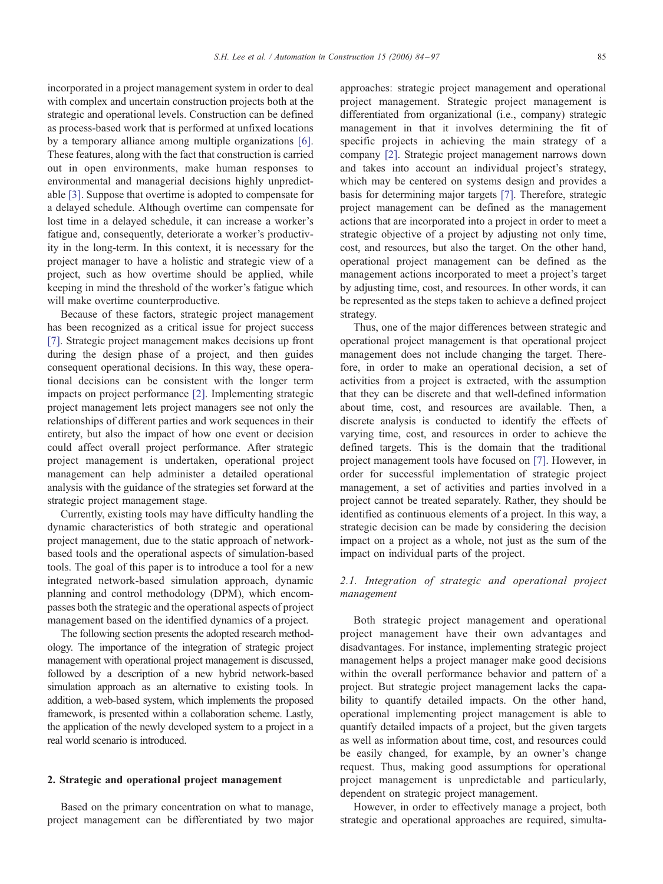incorporated in a project management system in order to deal with complex and uncertain construction projects both at the strategic and operational levels. Construction can be defined as process-based work that is performed at unfixed locations by a temporary alliance among multiple organizations [\[6\].](#page--1-0) These features, along with the fact that construction is carried out in open environments, make human responses to environmental and managerial decisions highly unpredictable [\[3\].](#page--1-0) Suppose that overtime is adopted to compensate for a delayed schedule. Although overtime can compensate for lost time in a delayed schedule, it can increase a worker's fatigue and, consequently, deteriorate a worker's productivity in the long-term. In this context, it is necessary for the project manager to have a holistic and strategic view of a project, such as how overtime should be applied, while keeping in mind the threshold of the worker's fatigue which will make overtime counterproductive.

Because of these factors, strategic project management has been recognized as a critical issue for project success [\[7\].](#page--1-0) Strategic project management makes decisions up front during the design phase of a project, and then guides consequent operational decisions. In this way, these operational decisions can be consistent with the longer term impacts on project performance [\[2\].](#page--1-0) Implementing strategic project management lets project managers see not only the relationships of different parties and work sequences in their entirety, but also the impact of how one event or decision could affect overall project performance. After strategic project management is undertaken, operational project management can help administer a detailed operational analysis with the guidance of the strategies set forward at the strategic project management stage.

Currently, existing tools may have difficulty handling the dynamic characteristics of both strategic and operational project management, due to the static approach of networkbased tools and the operational aspects of simulation-based tools. The goal of this paper is to introduce a tool for a new integrated network-based simulation approach, dynamic planning and control methodology (DPM), which encompasses both the strategic and the operational aspects of project management based on the identified dynamics of a project.

The following section presents the adopted research methodology. The importance of the integration of strategic project management with operational project management is discussed, followed by a description of a new hybrid network-based simulation approach as an alternative to existing tools. In addition, a web-based system, which implements the proposed framework, is presented within a collaboration scheme. Lastly, the application of the newly developed system to a project in a real world scenario is introduced.

#### 2. Strategic and operational project management

Based on the primary concentration on what to manage, project management can be differentiated by two major approaches: strategic project management and operational project management. Strategic project management is differentiated from organizational (i.e., company) strategic management in that it involves determining the fit of specific projects in achieving the main strategy of a company [\[2\].](#page--1-0) Strategic project management narrows down and takes into account an individual project's strategy, which may be centered on systems design and provides a basis for determining major targets [\[7\].](#page--1-0) Therefore, strategic project management can be defined as the management actions that are incorporated into a project in order to meet a strategic objective of a project by adjusting not only time, cost, and resources, but also the target. On the other hand, operational project management can be defined as the management actions incorporated to meet a project's target by adjusting time, cost, and resources. In other words, it can be represented as the steps taken to achieve a defined project strategy.

Thus, one of the major differences between strategic and operational project management is that operational project management does not include changing the target. Therefore, in order to make an operational decision, a set of activities from a project is extracted, with the assumption that they can be discrete and that well-defined information about time, cost, and resources are available. Then, a discrete analysis is conducted to identify the effects of varying time, cost, and resources in order to achieve the defined targets. This is the domain that the traditional project management tools have focused on [\[7\].](#page--1-0) However, in order for successful implementation of strategic project management, a set of activities and parties involved in a project cannot be treated separately. Rather, they should be identified as continuous elements of a project. In this way, a strategic decision can be made by considering the decision impact on a project as a whole, not just as the sum of the impact on individual parts of the project.

### 2.1. Integration of strategic and operational project management

Both strategic project management and operational project management have their own advantages and disadvantages. For instance, implementing strategic project management helps a project manager make good decisions within the overall performance behavior and pattern of a project. But strategic project management lacks the capability to quantify detailed impacts. On the other hand, operational implementing project management is able to quantify detailed impacts of a project, but the given targets as well as information about time, cost, and resources could be easily changed, for example, by an owner's change request. Thus, making good assumptions for operational project management is unpredictable and particularly, dependent on strategic project management.

However, in order to effectively manage a project, both strategic and operational approaches are required, simulta-